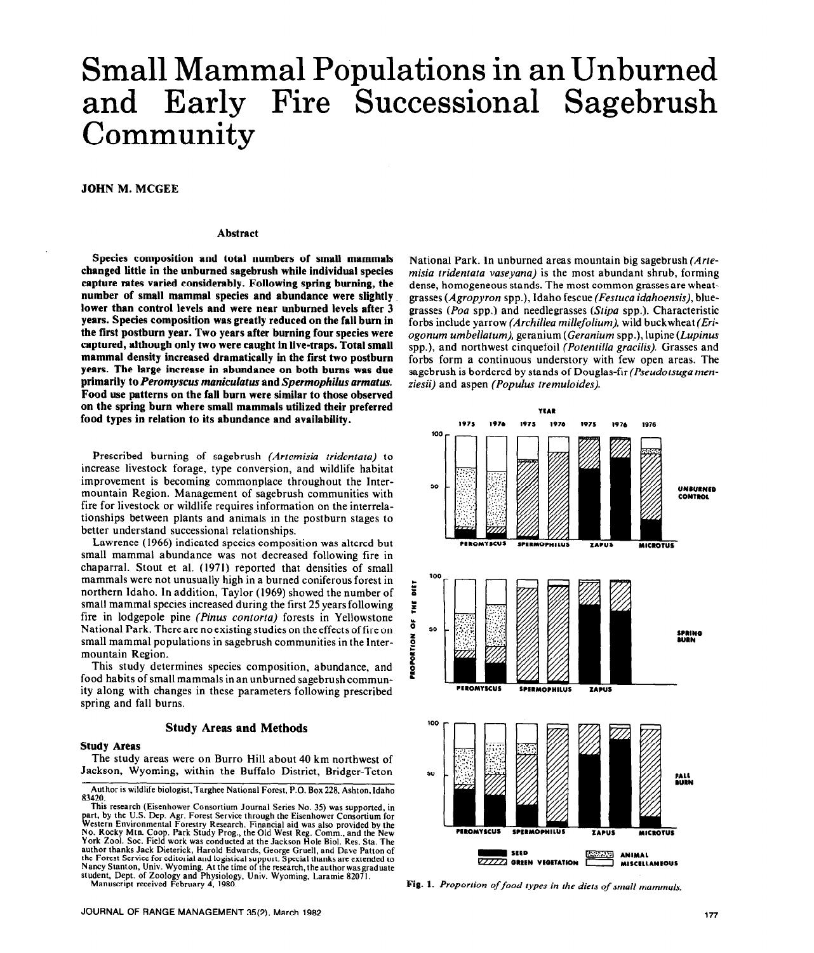# Small Mammal Populations in an Unburned and Early Fire Successional Sagebrush Community

**JOHN M. MCGEE** 

#### **Abstract**

**Species composition and total numbers of small mammals changed little in the unburned sagebrush while individual species capture rates varied considerably. Following spring burning, the number of small mammal species and abundance were slightly. lower than control levels and were near unburned levels after 3 years. Species composition was greatly reduced on the fall bum in the first postburn year. Two years after burning four species were captured, although only two were caught in live-traps. Total small mammal density increased dramatically in the first two postburn years. The large increase in abundance on both bums was due primarily to** *Peromyscus maniculatus* **and** *Spermophilus armatus.*  **Food use patterns on the fall burn were similar to those observed on the spring burn where small mammals utilized their preferred food types in relation to its abundance and availability.** 

Prescribed burning of sagebrush *(Artemisia tridentata)* to increase livestock forage, type conversion, and wildlife habitat improvement is becoming commonplace throughout the Intermountain Region. Management of sagebrush communities with fire for livestock or wildlife requires information on the interrelationships between plants and animals in the postburn stages to better understand successional relationships.

Lawrence (1966) indicated species composition was altered but small mammal abundance was not decreased following fire in chaparral. Stout et al. (1971) reported that densities of small mammals were not unusually high in a burned coniferous forest in northern Idaho. In addition, Taylor (1969) showed the number of small mammal species increased during the first 25 years following fire in lodgepole pine *(Pinus contorta)* forests in Yellowstone National Park. There are no existing studies on the effects of fire on small mammal populations in sagebrush communities in the Intermountain Region.

This study determines species composition, abundance, and food habits of small mammals in an unburned sagebrush community along with changes in these parameters following prescribed spring and fall burns.

## **Study Areas and Methods**

## **Study Areas**

The study areas were on Burro Hill about 40 km northwest of Jackson, Wyoming, within the Buffalo District, Bridger-Teton

**Author is wildlife biologist, Targhee National Forest, P.O. Box 228, Ashton, Idaho**  83420.<br>This research (Eisenhower Consortium Journal Series No. 35) was supported, in

This issearch (EISCINDOWER CONSORTIUM DOUTHER INC. 35) was supported, in<br>part, by the U.S. Dep. Agr. Forest Service through the Eisenhower Consortium for<br>Western Environmental Forestry Research. Financial aid was also prov **York 2001. Sot. Field work was conducted at the Jackson Hole Biol. Res. Sta. The author thanks Jack Dieterick, Harold Edwards, George Gruell, and Dave Patton of the Forest Service for editorial and logistical support. Special thanks are extended to Nancy Stanton, Univ. Wyoming. At the time of the research,theauthorwasgraduate student, Dept. of Zoology and Physiology, Univ. Wyoming, Laramie 82071.** 

National Park. In unburned areas mountain big sagebrush *(Artemisia tridentata vaseyana)* is the most abundant shrub, forming dense, homogeneous stands. The most common grasses are wheatgrasses *(Agropyron* spp.), Idaho fescue *(Festuca idahoensis),* bluegrasses *(Poa* spp.) and needlegrasses *(Stipa* spp.). Characteristic forbs include yarrow *(Archillea millefolium),* wild buckwheat *(Eriogonum umbellatum),* geranium *(Geranium* spp.), lupine *(Lupinus*  spp.), and northwest cinquefoil *(Potentilla gracilis).* Grasses and forbs form a continuous understory with few open areas. The sagebrush is bordered by stands of Douglas-fir *(Pseudotsuga menziesii)* and aspen *(Populus tremuloides).* 



**Manuscript received February 4, 1980. Fig. 1.** *Proportion offood types in the diets of small mammals.*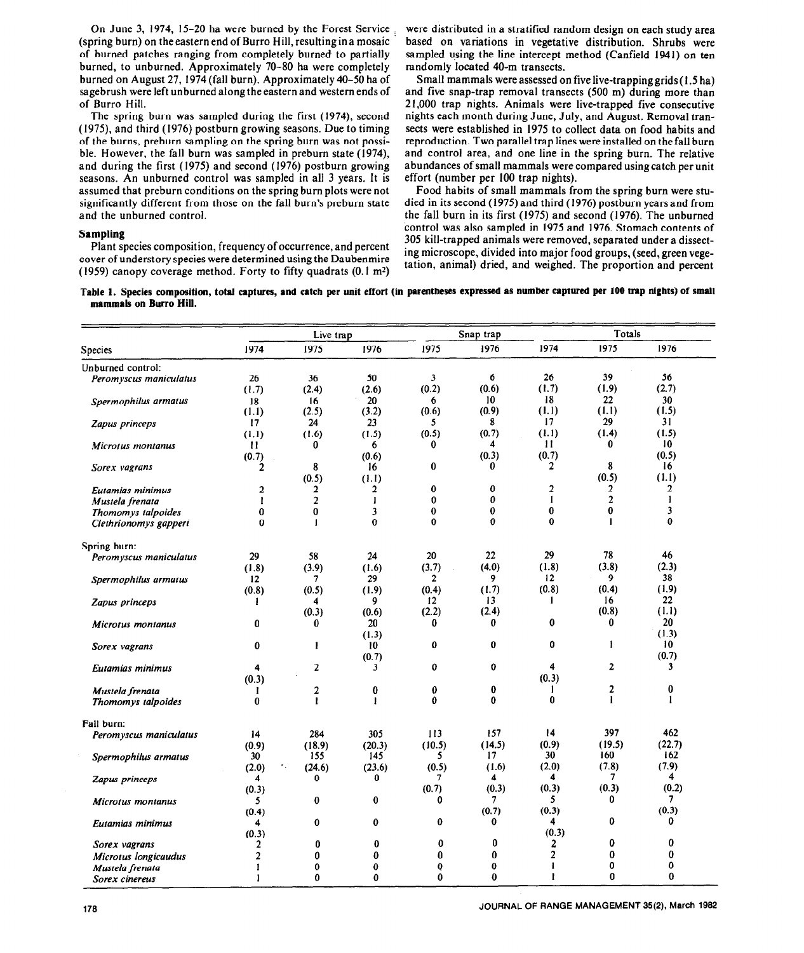On June 3, 1974, 15-20 ha were burned by the Forest Service (spring burn) on theeastern end of Burro Hill, resulting ina mosaic of burned patches ranging from completely burned, to partially burned, to unburned. Approximately 70-80 ha were completely burned on August 27, 1974 (fall burn). Approximately 40-50 ha of sagebrush were left unburned along the eastern and western ends of of Burro Hill.

The spring burn was sampled during the first (1974), second (1975) and third (1976) postburn growing seasons. Due to timing of the burns, preburn sampling on the spring burn was not possible. However, the fall burn was sampled in preburn state (1974), and during the first (1975) and second (1976) postburn growing seasons. An unburned control was sampled in all 3 years. It is assumed that preburn conditions on the spring burn plots were not significantly different from those on the fall burn's preburn state and the unburned control.

### **Sampling**

Plant species composition, frequency of occurrence, and percent cover of understory species were determined using the Daubenmire (1959) canopy coverage method. Forty to fifty quadrats  $(0.1 \text{ m}^2)$  were distributed in a stratified random design on each study area based on variations in vegetative distribution. Shrubs were sampled using the line intercept method (Canfield 1941) on ten randomly located 40-m transects.

Small mammals were assessed on five live-trapping grids (I .5 ha) and five snap-trap removal transects (500 m) during more than 21,000 trap nights. Animals were live-trapped five consecutive nights each month during June, July, and August. Removal transects were established in 1975 to collect data on food habits and reproduction. Two parallel trap lines were installed on the fall burn and control area, and one line in the spring burn. The relative abundances of small mammals were compared using catch per unit effort (number per 100 trap nights).

Food habits of small mammals from the spring burn were studied in its second (1975) and third (1976) postburn years and from the fall burn in its first (1975) and second (1976). The unburned control was also sampled in 1975 and 1976. Stomach contents of 305 kill-trapped animals were removed, separated under a dissecting microscope, divided into major food groups, (seed, green vegetation, animal) dried, and weighed. The proportion and percent

**Table 1. Species composition, total captures, and catch per unit effort (in parentheses expressed as number captured per 100 trap nights) of small mammals on Burro Hill.** 

|                        |                | Live trap        |                |              | Snap trap    |                | Totals                  |                 |  |
|------------------------|----------------|------------------|----------------|--------------|--------------|----------------|-------------------------|-----------------|--|
| Species                | 1974           | 1975             | 1976           | 1975         | 1976         | 1974           | 1975                    | 1976            |  |
| Unburned control:      |                |                  |                |              |              |                |                         |                 |  |
| Peromyscus maniculatus | 26             | 36               | 50             | 3            | 6            | 26             | 39                      | 56              |  |
|                        | (1.7)          | (2.4)            | (2.6)          | (0.2)        | (0.6)        | (1.7)          | (1.9)                   | (2.7)           |  |
| Spermophilus armatus   | 18             | 16               | 20             | 6            | 10           | 18             | 22                      | 30              |  |
|                        | (1.1)          | (2.5)            | (3.2)          | (0.6)        | (0.9)        | (1.1)          | (1.1)                   | (1.5)           |  |
| Zapus princeps         | 17             | 24               | 23             | 5            | 8            | 17             | 29                      | 31              |  |
|                        | (1,1)          | (1.6)            | (1.5)          | (0.5)        | (0.7)        | (1.1)          | (1.4)                   | (1.5)           |  |
| Microtus montanus      | 11             | 0                | 6              | 0            | 4            | П              | 0                       | 10              |  |
|                        | (0.7)          |                  | (0.6)          |              | (0.3)        | (0.7)          |                         | (0.5)           |  |
| Sorex vagrans          | 2              | 8                | 16             | 0            | 0            | $\mathbf{2}$   | 8                       | 16              |  |
|                        |                | (0.5)            | (1.1)          |              |              |                | (0.5)                   | (1.1)           |  |
| Eutamias minimus       | $\overline{a}$ | $\mathbf{2}$     | $\overline{2}$ | $\bf{0}$     | 0            | 2              | $\overline{2}$          | $\mathbf{2}$    |  |
| Mustela frenata        | l              | $\overline{2}$   | $\mathbf{I}$   | 0            | 0            | 1              | $\overline{\mathbf{c}}$ | 1               |  |
| Thomomys talpoides     | $\bf{0}$       | $\bf{0}$         | $\mathbf{3}$   | 0            | 0            | 0              | 0                       | 3               |  |
| Clethrionomys gapperi  | $\Omega$       | $\mathbf{I}$     | $\bf{0}$       | 0            | $\Omega$     | $\Omega$       | $\mathbf{I}$            | 0               |  |
| Spring burn:           |                |                  |                |              |              |                |                         |                 |  |
| Peromyscus maniculatus | 29             | 58               | 24             | 20           | 22           | 29             | 78                      | 46              |  |
|                        | (1.8)          | (3.9)            | (1.6)          | (3.7)        | (4.0)        | (1.8)          | (3.8)                   | (2.3)           |  |
| Spermophilus armatus   | 12             | 7                | 29             | $\mathbf{2}$ | 9            | 12             | 9                       | 38              |  |
|                        | (0.8)          | (0.5)            | (1.9)          | (0.4)        | (1.7)        | (0.8)          | (0.4)                   | (1.9)           |  |
| Zapus princeps         | 1              | 4                | 9              | 12           | 13           | 1              | 16                      | 22              |  |
|                        |                | (0.3)            | (0.6)          | (2.2)        | (2.4)        |                | (0.8)                   | (1.1)           |  |
| Microtus montanus      | 0              | 0                | 20             | 0            | 0            | $\bf{0}$       | $\bf{0}$                | 20              |  |
|                        |                |                  | (1.3)          |              |              |                |                         | (1.3)           |  |
| Sorex vagrans          | $\bf{0}$       | 1                | 10             | $\bf{0}$     | $\bf{0}$     | 0              | ł                       | 10 <sup>°</sup> |  |
|                        |                |                  | (0.7)          |              |              |                |                         | (0.7)           |  |
| Eutamias minimus       | 4              | $\boldsymbol{2}$ | 3              | 0            | 0            | 4              | $\mathbf{2}$            | 3               |  |
|                        | (0.3)          |                  |                |              |              | (0.3)          |                         |                 |  |
| Mustela frenata        | I              | $\overline{2}$   | $\bf{0}$       | $\bf{0}$     | 0            | -              | 2                       | 0               |  |
| Thomomys talpoides     | $\bf{0}$       | $\mathbf{I}$     | 1              | $\bf{0}$     | 0            | $\bf{0}$       | 1                       | $\mathbf{1}$    |  |
|                        |                |                  |                |              |              |                |                         |                 |  |
| Fall burn:             |                |                  |                |              |              |                | 397                     |                 |  |
| Peromyscus maniculatus | 14             | 284              | 305            | 113          | 157          | 14             |                         | 462             |  |
|                        | (0.9)          | (18.9)           | (20.3)         | (10.5)       | (14.5)       | (0.9)          | (19.5)                  | (22.7)          |  |
| Spermophilus armatus   | 30             | 155              | 145            | 5            | 17           | 30             | 160                     | 162             |  |
|                        | (2.0)          | ٠.<br>(24.6)     | (23.6)         | (0.5)        | (1.6)        | (2.0)          | (7.8)                   | (7.9)           |  |
| Zapus princeps         | 4              | $\bf{0}$         | 0              | 7            | 4            | 4              | 7                       | 4               |  |
|                        | (0.3)          |                  |                | (0.7)        | (0.3)        | (0.3)          | (0.3)                   | (0.2)           |  |
| Microtus montanus      | 5.             | $\bf{0}$         | 0              | 0            | 7            | 5              | 0                       | 7               |  |
|                        | (0.4)          |                  |                |              | (0.7)        | (0.3)          |                         | (0.3)           |  |
| Eutamias minimus       | 4              | $\bf{0}$         | 0              | 0            | 0            | 4              | 0                       | 0               |  |
|                        | (0.3)          |                  |                |              |              | (0.3)          |                         |                 |  |
| Sorex vagrans          | $\overline{2}$ | 0                | $\bf{0}$       | 0            | 0            | $\overline{2}$ | 0                       | $\bf{0}$        |  |
| Microtus longicaudus   | 2              | 0                | 0              | 0            | $\mathbf{0}$ | 2              | 0                       | $\bf{0}$        |  |
| Mustela frenata        | ı              | $\bf{0}$         | 0              | Q            | 0            | $\mathbf{1}$   | 0                       | 0               |  |
| Sorex cinereus         | 1              | 0                | $\mathbf{0}$   | 0            | 0            | 1              | $\bf{0}$                | $\bf{0}$        |  |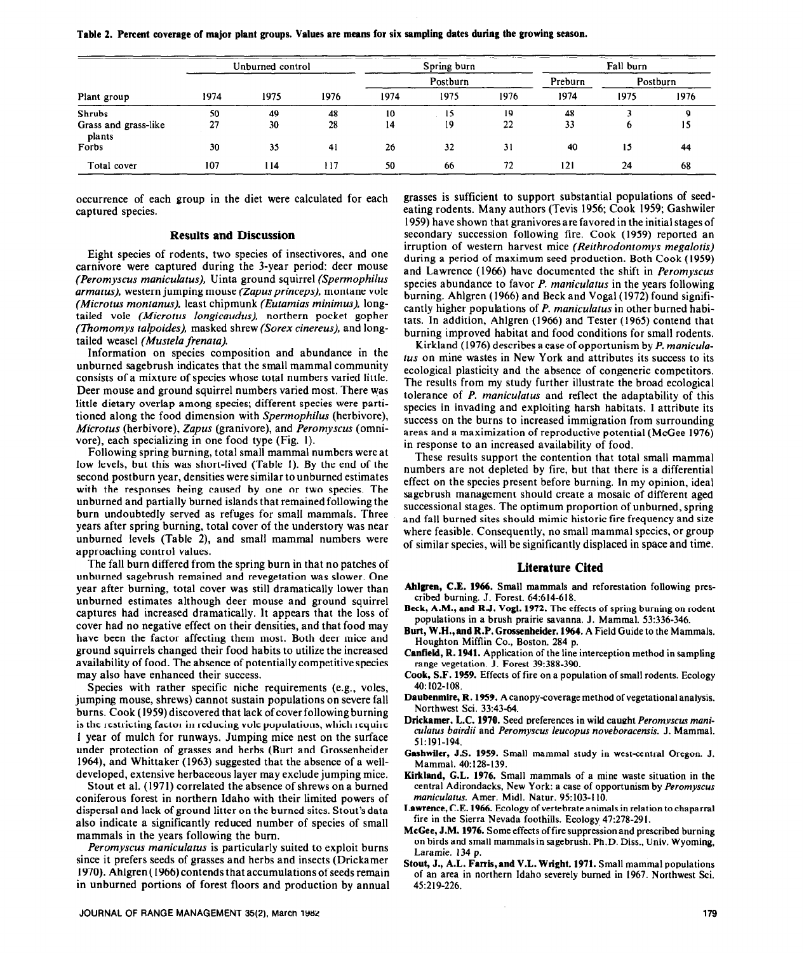| Plant group                    | Unburned control |      |      | Spring burn |      |      | Fall burn |          |      |
|--------------------------------|------------------|------|------|-------------|------|------|-----------|----------|------|
|                                | 1974             | 1975 | 1976 | Postburn    |      |      | Preburn   | Postburn |      |
|                                |                  |      |      | 1974        | 1975 | 1976 | 1974      | 1975     | 1976 |
| <b>Shrubs</b>                  | 50               | 49   | 48   | 10          | 15   | 19   | 48        |          | Q    |
| Grass and grass-like<br>plants | 27               | 30   | 28   | 14          | 19   | 22   | 33        |          | 15   |
| Forbs                          | 30               | 35   | 41   | 26          | 32   | 31   | 40        | 15       | 44   |
| Total cover                    | 107              | 114  | 117  | 50          | 66   | 72   | 121       | 24       | 68   |

**Table 2. Percent coverage of major plant groups. Values are means for six sampling dates during the growing season.** 

**occurrence** of each group in the diet were calculated for each captured species.

## **Results and Discussion**

Eight species of rodents, two species of insectivores, and one carnivore were captured during the 3-year period: deer mouse *(Peromyscus maniculatus),* Uinta ground squirrel *(Spermophilus armatus),* western jumping mouse *(Zapusprinceps),* montane vole *(Microtus montanus),* least chipmunk *(Eutamias minimus),* longtailed vole *(Microtus longicuudus),* northern pocket gopher *(Thomomys talpoides).* masked shrew (Sorex *cinereus),* and longtailed weasel *(Mustela frenata).* 

Information on species composition and abundance in the unburned sagebrush indicates that the small mammal community consists of a mixture of species whose total numbers varied little. Deer mouse and ground squirrel numbers varied most. There was little dietary overlap among species; different species were partitioned along the food dimension with *Spermophilus* (herbivore), *Microtus* (herbivore), *Zupus* (granivore), and *Peromyscus* (omnivore), each specializing in one food type (Fig. I).

Following spring burning, total small mammal numbers were at low levels, but this was short-lived (Table I). By the end of the second postburn year, densities were similar to unburned estimates with the responses being caused by one or two species. The unburned and partially burned islands that remained following the burn undoubtedly served as refuges for small mammals. Three years after spring burning, total cover of the understory was near unburned levels (Table Z), and small mammal numbers were approaching control values.

The fall burn differed from the spring burn in that no patches of unburned sagebrush remained and revegetation was slower. One year after burning, total cover was still dramatically lower than unburned estimates although deer mouse and ground squirrel captures had increased dramatically. It appears that the loss of cover had no negative effect on their densities, and that food may have been the factor affecting them most. Both deer mice and ground squirrels changed their food habits to utilize the increased availability of food. The absence of potentially competitive species may also have enhanced their success.

Species with rather specific niche requirements (e.g., voles, jumping mouse, shrews) cannot sustain populations on severe fall burns. Cook (1959) discovered that lack of cover following burning is the restricting factor in reducing vole populations, which require I year of mulch for runways. Jumping mice nest on the surface under protection of grasses and herbs (Burt and Grossenheider 1964), and Whittaker (1963) suggested that the absence of a welldeveloped, extensive herbaceous layer may exclude jumping mice.

Stout et al. (I97 I) correlated the absence of shrews on a burned coniferous forest in northern Idaho with their limited powers of dispersal and lack of ground litter on the burned sites. Stout's data also indicate a significantly reduced number of species of small mammals in the years following the burn.

*Peromyscus maniculatus* is particularly suited to exploit burns since it prefers seeds of grasses and herbs and insects (Drickamer 1970). Ahlgren( 1966) contends that accumulations of seeds remain in unburned portions of forest floors and production by annual

**JOURNAL OF RANGE MANAGEMENT 35(2), Marcn 1982** 179

grasses is sufficient to support substantial populations of seedeating rodents. Many authors (Tevis 1956; Cook 1959; Gashwiler 1959) have shown that granivores are favored in the initial stages of secondary succession following fire. Cook (1959) reported an irruption of western harvest mice *(Reithrodontomys megalotis)*  during a period of maximum seed production. Both Cook (1959) and Lawrence (1966) have documented the shift in *Peromyscus*  species abundance to favor *P. maniculatus* in the years following burning. Ahlgren (1966) and Beck and Vogal (1972) found significantly higher populations of *P. maniculatus* in other burned habitats. In addition, Ahlgren (1966) and Tester (1965) contend that burning improved habitat and food conditions for small rodents.

Kirkland (1976) describes a case of opportunism by *P. maniculatus* on mine wastes in New York and attributes its success to its ecological plasticity and the absence of congeneric competitors. The results from my study further illustrate the broad ecological tolerance of *P. maniculatus* and reflect the adaptability of this species in invading and exploiting harsh habitats. 1 attribute its success on the burns to increased immigration from surrounding areas and a maximization of reproductive potential (McGee 1976) in response to an increased availability of food.

These results support the contention that total small mammal numbers are not depleted by fire, but that there is a differential effect on the species present before burning. In my opinion, ideal sagebrush management should create a mosaic of different aged successional stages. The optimum proportion of unburned, spring and fall burned sites should mimic historic fire frequency and size where feasible. Consequently, no small mammal species, or group of similar species, will be significantly displaced in space and time.

#### **Literature Cited**

- **Ahlgren, C.E. 1966.** Small mammals and reforestation following prescribed burning. J. Forest. 64:614-618.
- **Beck, A.M., and RJ. Vogl. 1972.** The effects of spring burning on rodent populations in a brush prairie savanna. J. Mammal. 53:336-346.
- **Burt, W.H.,and R.P. Grossenheider. 1%4.** A Field Guide to the Mammals. Houghton Mifflin Co., Boston, 284 p.
- **Canfield, R. 1941.** Application of the line interception method in sampling range vegetation. J. Forest 39:388-390.
- **Cook, S.F. 1959.** Effects of fire on a population of small rodents. Ecology 40: 102-108.
- **Daubenmire, R. 1959.** Acanopy-coverage method of vegetational analysis. Northwest Sci. 33:43-64.
- **Drickamer, L.C. 1970.** Seed preferences in wikl caught Peromyscus mani*culatus bairdii* and *Peromyscus leucopus noveboraeensis.* J. Mammal. 51:19l-194.
- **Gashwiler, J.S. 1959.** Small mammal study in west-central Oregon. J. Mammal. 40:128-139.
- **Kirkland, G.L. 1976.** Small mammals of a mine waste situation in the central Adirondacks, New York: a case of opportunism by *Peromyscus maniculatus.* Amer. Mid]. Natur. 95:103-l IO.
- **Lawrence, C.E. 1966.** Ecology of vertebrate animals in relation to chaparral fire in the Sierra Nevada foothills. Ecology, 47:278-291.
- **McGee, J.M. 1976.** Some effects offire suppressionand prescribed burning on birds and small mammalsin sagebrush. Ph.D. Diss., Univ. Wyoming, Laramie. 134 p.
- Stout, J., A.L. Farris, and V.L. Wright. 1971. Small mammal populations of an area in northern Idaho severely burned in 1967. Northwest Sci. 45~219-226.